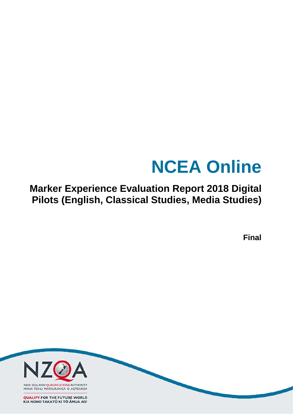# **NCEA Online**

**Marker Experience Evaluation Report 2018 Digital Pilots (English, Classical Studies, Media Studies)**

**Final**

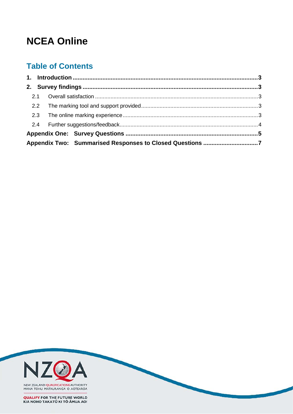# **NCEA Online**

# **Table of Contents**

| 2.2 |                                                          |
|-----|----------------------------------------------------------|
|     |                                                          |
|     |                                                          |
|     |                                                          |
|     | Appendix Two: Summarised Responses to Closed Questions 7 |

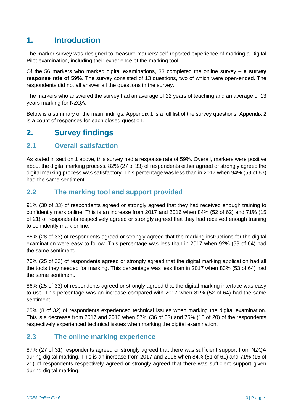# <span id="page-2-0"></span>**1. Introduction**

The marker survey was designed to measure markers' self-reported experience of marking a Digital Pilot examination, including their experience of the marking tool.

Of the 56 markers who marked digital examinations, 33 completed the online survey ‒ **a survey response rate of 59%**. The survey consisted of 13 questions, two of which were open-ended. The respondents did not all answer all the questions in the survey.

The markers who answered the survey had an average of 22 years of teaching and an average of 13 years marking for NZQA.

Below is a summary of the main findings. Appendix 1 is a full list of the survey questions. Appendix 2 is a count of responses for each closed question.

# <span id="page-2-1"></span>**2. Survey findings**

### <span id="page-2-2"></span>**2.1 Overall satisfaction**

As stated in section 1 above, this survey had a response rate of 59%. Overall, markers were positive about the digital marking process. 82% (27 of 33) of respondents either agreed or strongly agreed the digital marking process was satisfactory. This percentage was less than in 2017 when 94% (59 of 63) had the same sentiment.

## <span id="page-2-3"></span>**2.2 The marking tool and support provided**

91% (30 of 33) of respondents agreed or strongly agreed that they had received enough training to confidently mark online. This is an increase from 2017 and 2016 when 84% (52 of 62) and 71% (15 of 21) of respondents respectively agreed or strongly agreed that they had received enough training to confidently mark online.

85% (28 of 33) of respondents agreed or strongly agreed that the marking instructions for the digital examination were easy to follow. This percentage was less than in 2017 when 92% (59 of 64) had the same sentiment.

76% (25 of 33) of respondents agreed or strongly agreed that the digital marking application had all the tools they needed for marking. This percentage was less than in 2017 when 83% (53 of 64) had the same sentiment.

86% (25 of 33) of respondents agreed or strongly agreed that the digital marking interface was easy to use. This percentage was an increase compared with 2017 when 81% (52 of 64) had the same sentiment.

25% (8 of 32) of respondents experienced technical issues when marking the digital examination. This is a decrease from 2017 and 2016 when 57% (36 of 63) and 75% (15 of 20) of the respondents respectively experienced technical issues when marking the digital examination.

## <span id="page-2-4"></span>**2.3 The online marking experience**

87% (27 of 31) respondents agreed or strongly agreed that there was sufficient support from NZQA during digital marking. This is an increase from 2017 and 2016 when 84% (51 of 61) and 71% (15 of 21) of respondents respectively agreed or strongly agreed that there was sufficient support given during digital marking.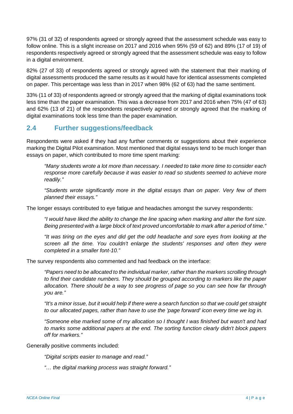97% (31 of 32) of respondents agreed or strongly agreed that the assessment schedule was easy to follow online. This is a slight increase on 2017 and 2016 when 95% (59 of 62) and 89% (17 of 19) of respondents respectively agreed or strongly agreed that the assessment schedule was easy to follow in a digital environment.

82% (27 of 33) of respondents agreed or strongly agreed with the statement that their marking of digital assessments produced the same results as it would have for identical assessments completed on paper. This percentage was less than in 2017 when 98% (62 of 63) had the same sentiment.

33% (11 of 33) of respondents agreed or strongly agreed that the marking of digital examinations took less time than the paper examination. This was a decrease from 2017 and 2016 when 75% (47 of 63) and 62% (13 of 21) of the respondents respectively agreed or strongly agreed that the marking of digital examinations took less time than the paper examination.

# <span id="page-3-0"></span>**2.4 Further suggestions/feedback**

Respondents were asked if they had any further comments or suggestions about their experience marking the Digital Pilot examination. Most mentioned that digital essays tend to be much longer than essays on paper, which contributed to more time spent marking:

*"Many students wrote a lot more than necessary. I needed to take more time to consider each response more carefully because it was easier to read so students seemed to achieve more readily."*

*"Students wrote significantly more in the digital essays than on paper. Very few of them planned their essays."*

The longer essays contributed to eye fatigue and headaches amongst the survey respondents:

*"I would have liked the ability to change the line spacing when marking and alter the font size. Being presented with a large block of text proved uncomfortable to mark after a period of time."*

*"It was tiring on the eyes and did get the odd headache and sore eyes from looking at the screen all the time. You couldn't enlarge the students' responses and often they were completed in a smaller font-10."*

The survey respondents also commented and had feedback on the interface:

*"Papers need to be allocated to the individual marker, rather than the markers scrolling through to find their candidate numbers. They should be grouped according to markers like the paper allocation. There should be a way to see progress of page so you can see how far through you are."* 

*"It's a minor issue, but it would help if there were a search function so that we could get straight to our allocated pages, rather than have to use the 'page forward' icon every time we log in.*

*"Someone else marked some of my allocation so I thought I was finished but wasn't and had to marks some additional papers at the end. The sorting function clearly didn't block papers off for markers."*

Generally positive comments included:

*"Digital scripts easier to manage and read."*

*"… the digital marking process was straight forward."*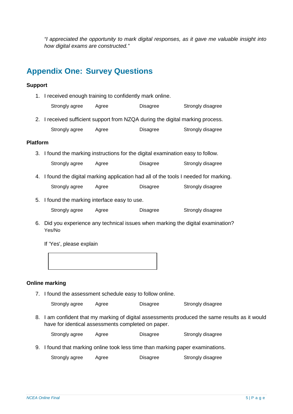*"I appreciated the opportunity to mark digital responses, as it gave me valuable insight into how digital exams are constructed."*

# <span id="page-4-0"></span>**Appendix One: Survey Questions**

#### **Support**

- 1. I received enough training to confidently mark online.
	- Strongly agree Agree Disagree Strongly disagree
- 2. I received sufficient support from NZQA during the digital marking process. Strongly agree Agree Disagree Strongly disagree

#### **Platform**

- 3. I found the marking instructions for the digital examination easy to follow.
	- Strongly agree Agree Disagree Strongly disagree
- 4. I found the digital marking application had all of the tools I needed for marking.
	- Strongly agree Agree Disagree Strongly disagree
- 5. I found the marking interface easy to use.
	- Strongly agree Agree Disagree Strongly disagree
- 6. Did you experience any technical issues when marking the digital examination? Yes/No

If 'Yes', please explain

#### **Online marking**

7. I found the assessment schedule easy to follow online.

Strongly agree Agree Disagree Strongly disagree

8. I am confident that my marking of digital assessments produced the same results as it would have for identical assessments completed on paper.

Strongly agree Agree Disagree Strongly disagree

9. I found that marking online took less time than marking paper examinations.

Strongly agree Agree Disagree Strongly disagree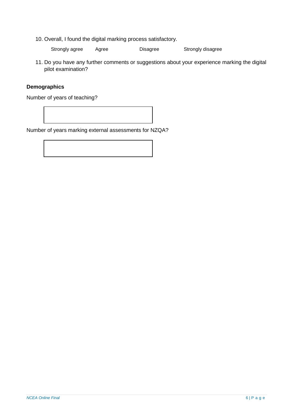10. Overall, I found the digital marking process satisfactory.

Strongly agree Agree Disagree Strongly disagree

11. Do you have any further comments or suggestions about your experience marking the digital pilot examination?

### **Demographics**

Number of years of teaching?

Number of years marking external assessments for NZQA?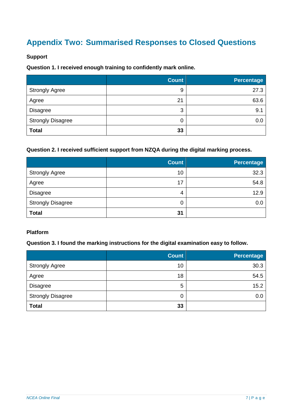# <span id="page-6-0"></span>**Appendix Two: Summarised Responses to Closed Questions**

### **Support**

### **Question 1. I received enough training to confidently mark online.**

|                          | <b>Count</b> | <b>Percentage</b> |
|--------------------------|--------------|-------------------|
| <b>Strongly Agree</b>    | 9            | 27.3              |
| Agree                    | 21           | 63.6              |
| <b>Disagree</b>          | 3            | 9.1               |
| <b>Strongly Disagree</b> | 0            | 0.0               |
| <b>Total</b>             | 33           |                   |

### **Question 2. I received sufficient support from NZQA during the digital marking process.**

|                          | <b>Count</b> | <b>Percentage</b> |
|--------------------------|--------------|-------------------|
| <b>Strongly Agree</b>    | 10           | 32.3              |
| Agree                    | 17           | 54.8              |
| <b>Disagree</b>          | 4            | 12.9              |
| <b>Strongly Disagree</b> | 0            | 0.0               |
| <b>Total</b>             | 31           |                   |

#### **Platform**

### **Question 3. I found the marking instructions for the digital examination easy to follow.**

|                          | <b>Count</b> | <b>Percentage</b> |
|--------------------------|--------------|-------------------|
| <b>Strongly Agree</b>    | 10           | 30.3              |
| Agree                    | 18           | 54.5              |
| <b>Disagree</b>          | 5            | 15.2              |
| <b>Strongly Disagree</b> | 0            | 0.0               |
| <b>Total</b>             | 33           |                   |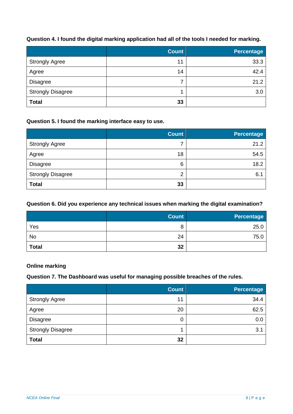### **Question 4. I found the digital marking application had all of the tools I needed for marking.**

|                          | <b>Count</b> | <b>Percentage</b> |
|--------------------------|--------------|-------------------|
| <b>Strongly Agree</b>    | 11           | 33.3              |
| Agree                    | 14           | 42.4              |
| <b>Disagree</b>          | ⇁            | 21.2              |
| <b>Strongly Disagree</b> |              | 3.0               |
| <b>Total</b>             | 33           |                   |

### **Question 5. I found the marking interface easy to use.**

|                          | <b>Count</b> | <b>Percentage</b> |
|--------------------------|--------------|-------------------|
| <b>Strongly Agree</b>    | 7            | 21.2              |
| Agree                    | 18           | 54.5              |
| <b>Disagree</b>          | 6            | 18.2              |
| <b>Strongly Disagree</b> | 2            | 6.7               |
| <b>Total</b>             | 33           |                   |

### **Question 6. Did you experience any technical issues when marking the digital examination?**

|              | <b>Count</b> | <b>Percentage</b> |
|--------------|--------------|-------------------|
| Yes          | 8            | 25.0              |
| No           | 24           | 75.0              |
| <b>Total</b> | 32           |                   |

**Online marking**

#### **Question 7. The Dashboard was useful for managing possible breaches of the rules.**

|                          | <b>Count</b> | <b>Percentage</b> |
|--------------------------|--------------|-------------------|
| <b>Strongly Agree</b>    | 11           | 34.4              |
| Agree                    | 20           | 62.5              |
| <b>Disagree</b>          | 0            | 0.0               |
| <b>Strongly Disagree</b> |              | 3.1               |
| <b>Total</b>             | 32           |                   |